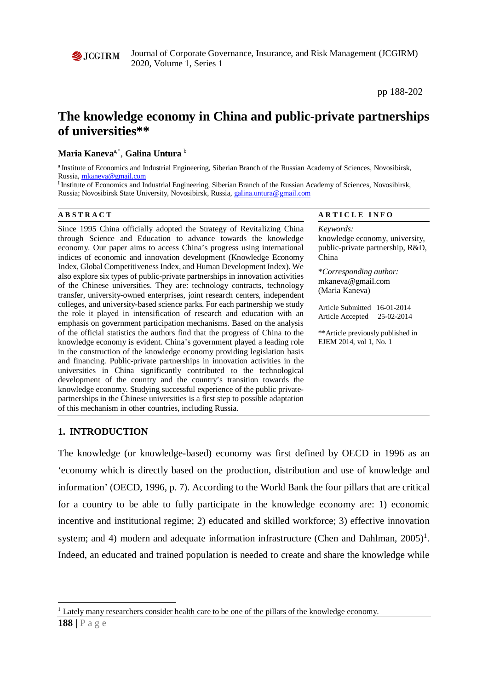Journal of Corporate Governance, Insurance, and Risk Management (JCGIRM) 2020, Volume 1, Series 1

pp 188-202

# **The knowledge economy in China and public-private partnerships of universities\*\***

# **Maria Kaneva**a,\*, **Galina Untura** <sup>b</sup>

<sup>a</sup> Institute of Economics and Industrial Engineering, Siberian Branch of the Russian Academy of Sciences, Novosibirsk, Russia[, mkaneva@gmail.com](mailto:mkaneva@gmail.com)

<sup>I</sup> Institute of Economics and Industrial Engineering, Siberian Branch of the Russian Academy of Sciences, Novosibirsk, Russia; Novosibirsk State University, Novosibirsk, Russia[, galina.untura@gmail.com](mailto:galina.untura@gmail.com)

Since 1995 China officially adopted the Strategy of Revitalizing China through Science and Education to advance towards the knowledge economy. Our paper aims to access China's progress using international indices of economic and innovation development (Knowledge Economy Index, Global Competitiveness Index, and Human Development Index). We also explore six types of public-private partnerships in innovation activities of the Chinese universities. They are: technology contracts, technology transfer, university-owned enterprises, joint research centers, independent colleges, and university-based science parks. For each partnership we study the role it played in intensification of research and education with an emphasis on government participation mechanisms. Based on the analysis of the official statistics the authors find that the progress of China to the knowledge economy is evident. China's government played a leading role in the construction of the knowledge economy providing legislation basis and financing. Public-private partnerships in innovation activities in the universities in China significantly contributed to the technological development of the country and the country's transition towards the knowledge economy. Studying successful experience of the public privatepartnerships in the Chinese universities is a first step to possible adaptation of this mechanism in other countries, including Russia.

# **A B S T R A C T A R T I C L E I N F O**

*Keywords:* knowledge economy, university, public-private partnership, R&D, China

\**Corresponding author:*  mkaneva@gmail.com (Maria Kaneva)

Article Submitted 16-01-2014 Article Accepted 25-02-2014

\*\*Article previously published in EJEM 2014, vol 1, No. 1

# **1. INTRODUCTION**

The knowledge (or knowledge-based) economy was first defined by OECD in 1996 as an 'economy which is directly based on the production, distribution and use of knowledge and information' (OECD, 1996, p. 7). According to the World Bank the four pillars that are critical for a country to be able to fully participate in the knowledge economy are: 1) economic incentive and institutional regime; 2) educated and skilled workforce; 3) effective innovation system; and 4) modern and adequate information infrastructure (Chen and Dahlman,  $2005$ )<sup>[1](#page-0-0)</sup>. Indeed, an educated and trained population is needed to create and share the knowledge while

 $\overline{a}$ 

<span id="page-0-0"></span><sup>&</sup>lt;sup>1</sup> Lately many researchers consider health care to be one of the pillars of the knowledge economy.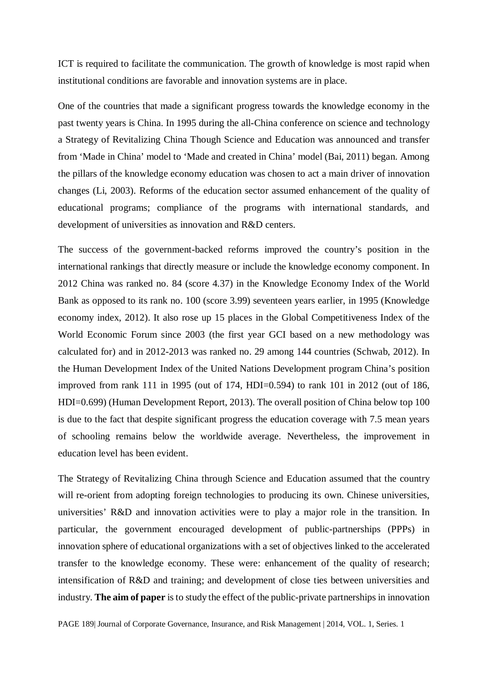ICT is required to facilitate the communication. The growth of knowledge is most rapid when institutional conditions are favorable and innovation systems are in place.

One of the countries that made a significant progress towards the knowledge economy in the past twenty years is China. In 1995 during the all-China conference on science and technology a Strategy of Revitalizing China Though Science and Education was announced and transfer from 'Made in China' model to 'Made and created in China' model (Bai, 2011) began. Among the pillars of the knowledge economy education was chosen to act a main driver of innovation changes (Li, 2003). Reforms of the education sector assumed enhancement of the quality of educational programs; compliance of the programs with international standards, and development of universities as innovation and R&D centers.

The success of the government-backed reforms improved the country's position in the international rankings that directly measure or include the knowledge economy component. In 2012 China was ranked no. 84 (score 4.37) in the Knowledge Economy Index of the World Bank as opposed to its rank no. 100 (score 3.99) seventeen years earlier, in 1995 (Knowledge economy index, 2012). It also rose up 15 places in the Global Competitiveness Index of the World Economic Forum since 2003 (the first year GCI based on a new methodology was calculated for) and in 2012-2013 was ranked no. 29 among 144 countries (Schwab, 2012). In the Human Development Index of the United Nations Development program China's position improved from rank 111 in 1995 (out of 174, HDI=0.594) to rank 101 in 2012 (out of 186, HDI=0.699) (Human Development Report, 2013). The overall position of China below top 100 is due to the fact that despite significant progress the education coverage with 7.5 mean years of schooling remains below the worldwide average. Nevertheless, the improvement in education level has been evident.

The Strategy of Revitalizing China through Science and Education assumed that the country will re-orient from adopting foreign technologies to producing its own. Chinese universities, universities' R&D and innovation activities were to play a major role in the transition. In particular, the government encouraged development of public-partnerships (PPPs) in innovation sphere of educational organizations with a set of objectives linked to the accelerated transfer to the knowledge economy. These were: enhancement of the quality of research; intensification of R&D and training; and development of close ties between universities and industry. **The aim of paper** is to study the effect of the public-private partnerships in innovation

PAGE 189| Journal of Corporate Governance, Insurance, and Risk Management | 2014, VOL. 1, Series. 1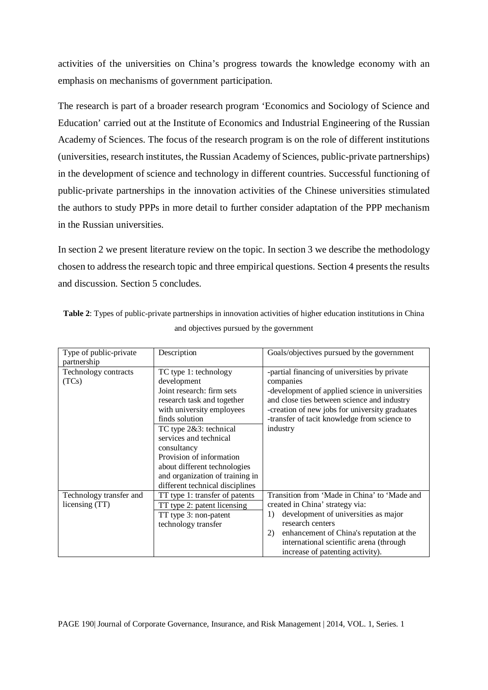activities of the universities on China's progress towards the knowledge economy with an emphasis on mechanisms of government participation.

The research is part of a broader research program 'Economics and Sociology of Science and Education' carried out at the Institute of Economics and Industrial Engineering of the Russian Academy of Sciences. The focus of the research program is on the role of different institutions (universities, research institutes, the Russian Academy of Sciences, public-private partnerships) in the development of science and technology in different countries. Successful functioning of public-private partnerships in the innovation activities of the Chinese universities stimulated the authors to study PPPs in more detail to further consider adaptation of the PPP mechanism in the Russian universities.

In section 2 we present literature review on the topic. In section 3 we describe the methodology chosen to address the research topic and three empirical questions. Section 4 presents the results and discussion. Section 5 concludes.

| Type of public-private<br>partnership | Description                     | Goals/objectives pursued by the government      |
|---------------------------------------|---------------------------------|-------------------------------------------------|
| Technology contracts                  | TC type 1: technology           | -partial financing of universities by private   |
| (TCs)                                 | development                     | companies                                       |
|                                       | Joint research: firm sets       | -development of applied science in universities |
|                                       | research task and together      | and close ties between science and industry     |
|                                       | with university employees       | -creation of new jobs for university graduates  |
|                                       | finds solution                  | -transfer of tacit knowledge from science to    |
|                                       | TC type 2&3: technical          | industry                                        |
|                                       | services and technical          |                                                 |
|                                       | consultancy                     |                                                 |
|                                       | Provision of information        |                                                 |
|                                       | about different technologies    |                                                 |
|                                       | and organization of training in |                                                 |
|                                       | different technical disciplines |                                                 |
| Technology transfer and               | TT type 1: transfer of patents  | Transition from 'Made in China' to 'Made and    |
| licensing (TT)                        | TT type 2: patent licensing     | created in China' strategy via:                 |
|                                       | TT type 3: non-patent           | development of universities as major<br>1)      |
|                                       | technology transfer             | research centers                                |
|                                       |                                 | 2)<br>enhancement of China's reputation at the  |
|                                       |                                 | international scientific arena (through         |
|                                       |                                 | increase of patenting activity).                |

**Table 2**: Types of public-private partnerships in innovation activities of higher education institutions in China and objectives pursued by the government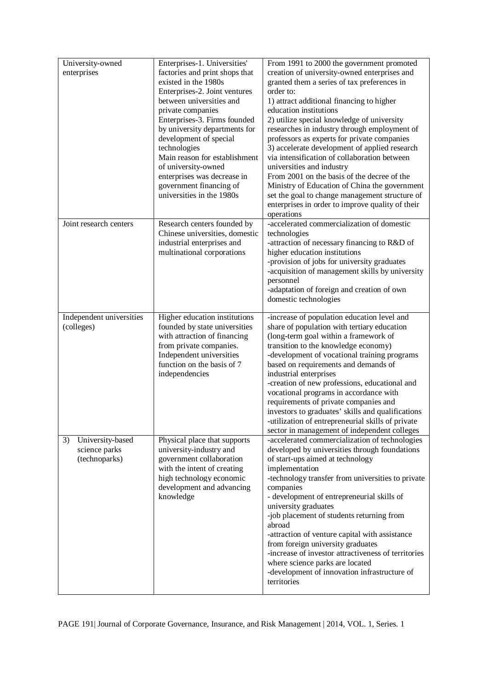| University-owned<br>enterprises                          | Enterprises-1. Universities'<br>factories and print shops that<br>existed in the 1980s<br>Enterprises-2. Joint ventures<br>between universities and<br>private companies<br>Enterprises-3. Firms founded<br>by university departments for<br>development of special<br>technologies<br>Main reason for establishment | From 1991 to 2000 the government promoted<br>creation of university-owned enterprises and<br>granted them a series of tax preferences in<br>order to:<br>1) attract additional financing to higher<br>education institutions<br>2) utilize special knowledge of university<br>researches in industry through employment of<br>professors as experts for private companies<br>3) accelerate development of applied research<br>via intensification of collaboration between                                                                                                                           |
|----------------------------------------------------------|----------------------------------------------------------------------------------------------------------------------------------------------------------------------------------------------------------------------------------------------------------------------------------------------------------------------|------------------------------------------------------------------------------------------------------------------------------------------------------------------------------------------------------------------------------------------------------------------------------------------------------------------------------------------------------------------------------------------------------------------------------------------------------------------------------------------------------------------------------------------------------------------------------------------------------|
|                                                          | of university-owned<br>enterprises was decrease in<br>government financing of<br>universities in the 1980s                                                                                                                                                                                                           | universities and industry<br>From 2001 on the basis of the decree of the<br>Ministry of Education of China the government<br>set the goal to change management structure of<br>enterprises in order to improve quality of their<br>operations                                                                                                                                                                                                                                                                                                                                                        |
| Joint research centers                                   | Research centers founded by<br>Chinese universities, domestic<br>industrial enterprises and<br>multinational corporations                                                                                                                                                                                            | -accelerated commercialization of domestic<br>technologies<br>-attraction of necessary financing to R&D of<br>higher education institutions<br>-provision of jobs for university graduates<br>-acquisition of management skills by university<br>personnel<br>-adaptation of foreign and creation of own<br>domestic technologies                                                                                                                                                                                                                                                                    |
| Independent universities<br>(colleges)                   | Higher education institutions<br>founded by state universities<br>with attraction of financing<br>from private companies.<br>Independent universities<br>function on the basis of 7<br>independencies                                                                                                                | -increase of population education level and<br>share of population with tertiary education<br>(long-term goal within a framework of<br>transition to the knowledge economy)<br>-development of vocational training programs<br>based on requirements and demands of<br>industrial enterprises<br>-creation of new professions, educational and<br>vocational programs in accordance with<br>requirements of private companies and<br>investors to graduates' skills and qualifications<br>-utilization of entrepreneurial skills of private<br>sector in management of independent colleges          |
| University-based<br>3)<br>science parks<br>(technoparks) | Physical place that supports<br>university-industry and<br>government collaboration<br>with the intent of creating<br>high technology economic<br>development and advancing<br>knowledge                                                                                                                             | -accelerated commercialization of technologies<br>developed by universities through foundations<br>of start-ups aimed at technology<br>implementation<br>-technology transfer from universities to private<br>companies<br>- development of entrepreneurial skills of<br>university graduates<br>-job placement of students returning from<br>abroad<br>-attraction of venture capital with assistance<br>from foreign university graduates<br>-increase of investor attractiveness of territories<br>where science parks are located<br>-development of innovation infrastructure of<br>territories |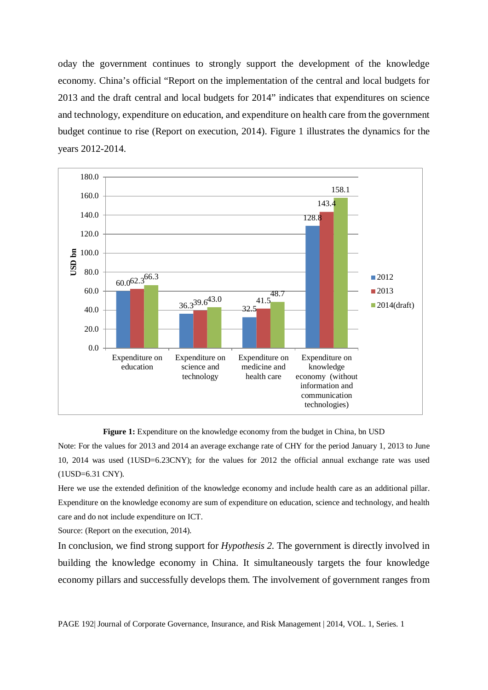oday the government continues to strongly support the development of the knowledge economy. China's official "Report on the implementation of the central and local budgets for 2013 and the draft central and local budgets for 2014" indicates that expenditures on science and technology, expenditure on education, and expenditure on health care from the government budget continue to rise (Report on execution, 2014). Figure 1 illustrates the dynamics for the years 2012-2014.



Figure 1: Expenditure on the knowledge economy from the budget in China, bn USD

Note: For the values for 2013 and 2014 an average exchange rate of CHY for the period January 1, 2013 to June 10, 2014 was used (1USD=6.23CNY); for the values for 2012 the official annual exchange rate was used (1USD=6.31 CNY).

Here we use the extended definition of the knowledge economy and include health care as an additional pillar. Expenditure on the knowledge economy are sum of expenditure on education, science and technology, and health care and do not include expenditure on ICT.

Source: (Report on the execution, 2014).

In conclusion, we find strong support for *Hypothesis 2.* The government is directly involved in building the knowledge economy in China. It simultaneously targets the four knowledge economy pillars and successfully develops them. The involvement of government ranges from

PAGE 192| Journal of Corporate Governance, Insurance, and Risk Management | 2014, VOL. 1, Series. 1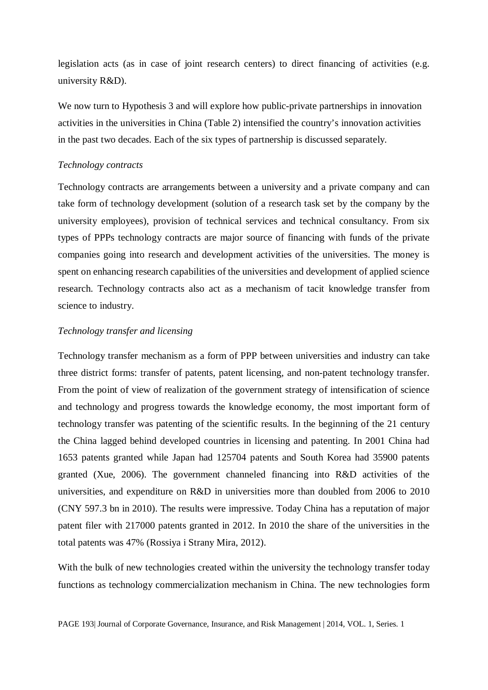legislation acts (as in case of joint research centers) to direct financing of activities (e.g. university R&D).

We now turn to Hypothesis 3 and will explore how public-private partnerships in innovation activities in the universities in China (Table 2) intensified the country's innovation activities in the past two decades. Each of the six types of partnership is discussed separately.

# *Technology contracts*

Technology contracts are arrangements between a university and a private company and can take form of technology development (solution of a research task set by the company by the university employees), provision of technical services and technical consultancy. From six types of PPPs technology contracts are major source of financing with funds of the private companies going into research and development activities of the universities. The money is spent on enhancing research capabilities of the universities and development of applied science research. Technology contracts also act as a mechanism of tacit knowledge transfer from science to industry.

# *Technology transfer and licensing*

Technology transfer mechanism as a form of PPP between universities and industry can take three district forms: transfer of patents, patent licensing, and non-patent technology transfer. From the point of view of realization of the government strategy of intensification of science and technology and progress towards the knowledge economy, the most important form of technology transfer was patenting of the scientific results. In the beginning of the 21 century the China lagged behind developed countries in licensing and patenting. In 2001 China had 1653 patents granted while Japan had 125704 patents and South Korea had 35900 patents granted (Xue, 2006). The government channeled financing into R&D activities of the universities, and expenditure on R&D in universities more than doubled from 2006 to 2010 (CNY 597.3 bn in 2010). The results were impressive. Today China has a reputation of major patent filer with 217000 patents granted in 2012. In 2010 the share of the universities in the total patents was 47% (Rossiya i Strany Mira, 2012).

With the bulk of new technologies created within the university the technology transfer today functions as technology commercialization mechanism in China. The new technologies form

PAGE 193| Journal of Corporate Governance, Insurance, and Risk Management | 2014, VOL. 1, Series. 1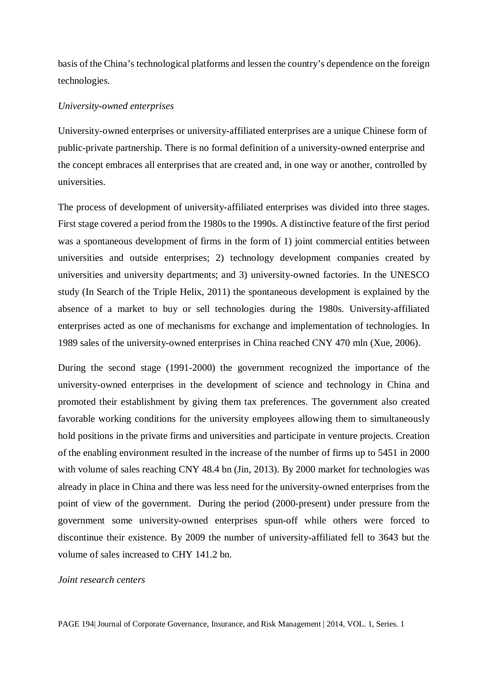basis of the China's technological platforms and lessen the country's dependence on the foreign technologies.

### *University-owned enterprises*

University-owned enterprises or university-affiliated enterprises are a unique Chinese form of public-private partnership. There is no formal definition of a university-owned enterprise and the concept embraces all enterprises that are created and, in one way or another, controlled by universities.

The process of development of university-affiliated enterprises was divided into three stages. First stage covered a period from the 1980s to the 1990s. A distinctive feature of the first period was a spontaneous development of firms in the form of 1) joint commercial entities between universities and outside enterprises; 2) technology development companies created by universities and university departments; and 3) university-owned factories. In the UNESCO study (In Search of the Triple Helix, 2011) the spontaneous development is explained by the absence of a market to buy or sell technologies during the 1980s. University-affiliated enterprises acted as one of mechanisms for exchange and implementation of technologies. In 1989 sales of the university-owned enterprises in China reached CNY 470 mln (Xue, 2006).

During the second stage (1991-2000) the government recognized the importance of the university-owned enterprises in the development of science and technology in China and promoted their establishment by giving them tax preferences. The government also created favorable working conditions for the university employees allowing them to simultaneously hold positions in the private firms and universities and participate in venture projects. Creation of the enabling environment resulted in the increase of the number of firms up to 5451 in 2000 with volume of sales reaching CNY 48.4 bn (Jin, 2013). By 2000 market for technologies was already in place in China and there was less need for the university-owned enterprises from the point of view of the government. During the period (2000-present) under pressure from the government some university-owned enterprises spun-off while others were forced to discontinue their existence. By 2009 the number of university-affiliated fell to 3643 but the volume of sales increased to CHY 141.2 bn.

# *Joint research centers*

PAGE 194| Journal of Corporate Governance, Insurance, and Risk Management | 2014, VOL. 1, Series. 1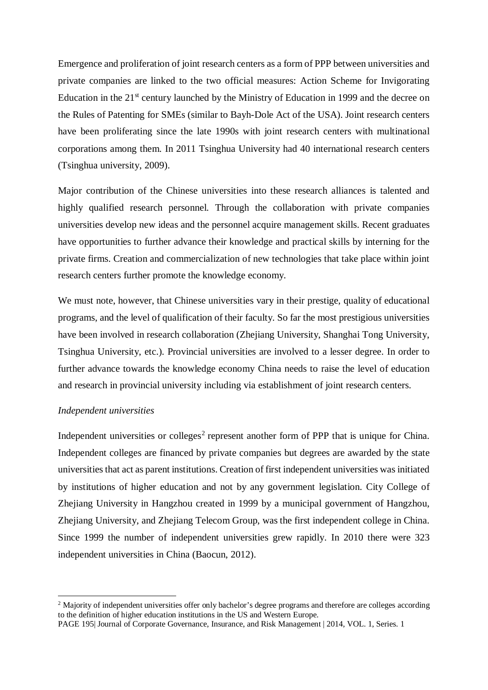Emergence and proliferation of joint research centers as a form of PPP between universities and private companies are linked to the two official measures: Action Scheme for Invigorating Education in the  $21<sup>st</sup>$  century launched by the Ministry of Education in 1999 and the decree on the Rules of Patenting for SMEs (similar to Bayh-Dole Act of the USA). Joint research centers have been proliferating since the late 1990s with joint research centers with multinational corporations among them. In 2011 Tsinghua University had 40 international research centers (Tsinghua university, 2009).

Major contribution of the Chinese universities into these research alliances is talented and highly qualified research personnel. Through the collaboration with private companies universities develop new ideas and the personnel acquire management skills. Recent graduates have opportunities to further advance their knowledge and practical skills by interning for the private firms. Creation and commercialization of new technologies that take place within joint research centers further promote the knowledge economy.

We must note, however, that Chinese universities vary in their prestige, quality of educational programs, and the level of qualification of their faculty. So far the most prestigious universities have been involved in research collaboration (Zhejiang University, Shanghai Tong University, Tsinghua University, etc.). Provincial universities are involved to a lesser degree. In order to further advance towards the knowledge economy China needs to raise the level of education and research in provincial university including via establishment of joint research centers.

# *Independent universities*

 $\overline{a}$ 

Independent universities or colleges<sup>[2](#page-7-0)</sup> represent another form of PPP that is unique for China. Independent colleges are financed by private companies but degrees are awarded by the state universities that act as parent institutions. Creation of first independent universities was initiated by institutions of higher education and not by any government legislation. City College of Zhejiang University in Hangzhou created in 1999 by a municipal government of Hangzhou, Zhejiang University, and Zhejiang Telecom Group, was the first independent college in China. Since 1999 the number of independent universities grew rapidly. In 2010 there were 323 independent universities in China (Baocun, 2012).

<span id="page-7-0"></span><sup>&</sup>lt;sup>2</sup> Majority of independent universities offer only bachelor's degree programs and therefore are colleges according to the definition of higher education institutions in the US and Western Europe.

PAGE 195| Journal of Corporate Governance, Insurance, and Risk Management | 2014, VOL. 1, Series. 1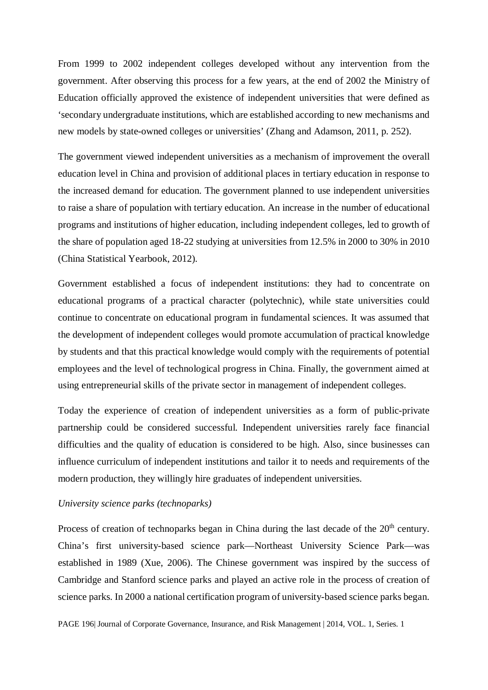From 1999 to 2002 independent colleges developed without any intervention from the government. After observing this process for a few years, at the end of 2002 the Ministry of Education officially approved the existence of independent universities that were defined as 'secondary undergraduate institutions, which are established according to new mechanisms and new models by state-owned colleges or universities' (Zhang and Adamson, 2011, p. 252).

The government viewed independent universities as a mechanism of improvement the overall education level in China and provision of additional places in tertiary education in response to the increased demand for education. The government planned to use independent universities to raise a share of population with tertiary education. An increase in the number of educational programs and institutions of higher education, including independent colleges, led to growth of the share of population aged 18-22 studying at universities from 12.5% in 2000 to 30% in 2010 (China Statistical Yearbook, 2012).

Government established a focus of independent institutions: they had to concentrate on educational programs of a practical character (polytechnic), while state universities could continue to concentrate on educational program in fundamental sciences. It was assumed that the development of independent colleges would promote accumulation of practical knowledge by students and that this practical knowledge would comply with the requirements of potential employees and the level of technological progress in China. Finally, the government aimed at using entrepreneurial skills of the private sector in management of independent colleges.

Today the experience of creation of independent universities as a form of public-private partnership could be considered successful. Independent universities rarely face financial difficulties and the quality of education is considered to be high. Also, since businesses can influence curriculum of independent institutions and tailor it to needs and requirements of the modern production, they willingly hire graduates of independent universities.

# *University science parks (technoparks)*

Process of creation of technoparks began in China during the last decade of the  $20<sup>th</sup>$  century. China's first university-based science park—Northeast University Science Park—was established in 1989 (Xue, 2006). The Chinese government was inspired by the success of Cambridge and Stanford science parks and played an active role in the process of creation of science parks. In 2000 a national certification program of university-based science parks began.

PAGE 196| Journal of Corporate Governance, Insurance, and Risk Management | 2014, VOL. 1, Series. 1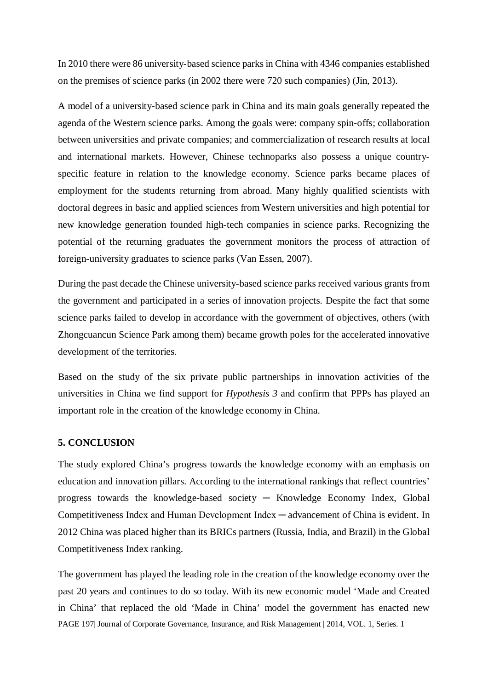In 2010 there were 86 university-based science parks in China with 4346 companies established on the premises of science parks (in 2002 there were 720 such companies) (Jin, 2013).

A model of a university-based science park in China and its main goals generally repeated the agenda of the Western science parks. Among the goals were: company spin-offs; collaboration between universities and private companies; and commercialization of research results at local and international markets. However, Chinese technoparks also possess a unique countryspecific feature in relation to the knowledge economy. Science parks became places of employment for the students returning from abroad. Many highly qualified scientists with doctoral degrees in basic and applied sciences from Western universities and high potential for new knowledge generation founded high-tech companies in science parks. Recognizing the potential of the returning graduates the government monitors the process of attraction of foreign-university graduates to science parks (Van Essen, 2007).

During the past decade the Chinese university-based science parks received various grants from the government and participated in a series of innovation projects. Despite the fact that some science parks failed to develop in accordance with the government of objectives, others (with Zhongcuancun Science Park among them) became growth poles for the accelerated innovative development of the territories.

Based on the study of the six private public partnerships in innovation activities of the universities in China we find support for *Hypothesis 3* and confirm that PPPs has played an important role in the creation of the knowledge economy in China.

# **5. CONCLUSION**

The study explored China's progress towards the knowledge economy with an emphasis on education and innovation pillars. According to the international rankings that reflect countries' progress towards the knowledge-based society  $-$  Knowledge Economy Index, Global Competitiveness Index and Human Development Index ─ advancement of China is evident. In 2012 China was placed higher than its BRICs partners (Russia, India, and Brazil) in the Global Competitiveness Index ranking.

PAGE 197| Journal of Corporate Governance, Insurance, and Risk Management | 2014, VOL. 1, Series. 1 The government has played the leading role in the creation of the knowledge economy over the past 20 years and continues to do so today. With its new economic model 'Made and Created in China' that replaced the old 'Made in China' model the government has enacted new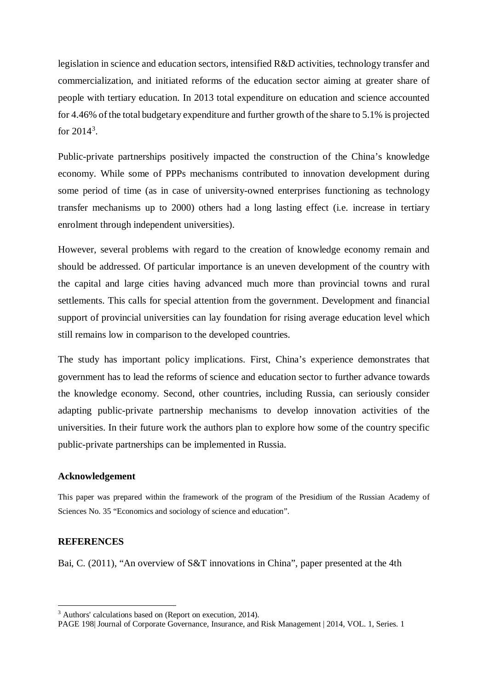legislation in science and education sectors, intensified R&D activities, technology transfer and commercialization, and initiated reforms of the education sector aiming at greater share of people with tertiary education. In 2013 total expenditure on education and science accounted for 4.46% of the total budgetary expenditure and further growth of the share to 5.1% is projected for  $2014^3$  $2014^3$ .

Public-private partnerships positively impacted the construction of the China's knowledge economy. While some of PPPs mechanisms contributed to innovation development during some period of time (as in case of university-owned enterprises functioning as technology transfer mechanisms up to 2000) others had a long lasting effect (i.e. increase in tertiary enrolment through independent universities).

However, several problems with regard to the creation of knowledge economy remain and should be addressed. Of particular importance is an uneven development of the country with the capital and large cities having advanced much more than provincial towns and rural settlements. This calls for special attention from the government. Development and financial support of provincial universities can lay foundation for rising average education level which still remains low in comparison to the developed countries.

The study has important policy implications. First, China's experience demonstrates that government has to lead the reforms of science and education sector to further advance towards the knowledge economy. Second, other countries, including Russia, can seriously consider adapting public-private partnership mechanisms to develop innovation activities of the universities. In their future work the authors plan to explore how some of the country specific public-private partnerships can be implemented in Russia.

#### **Acknowledgement**

This paper was prepared within the framework of the program of the Presidium of the Russian Academy of Sciences No. 35 "Economics and sociology of science and education".

# **REFERENCES**

 $\overline{a}$ 

Bai, C. (2011), "An overview of S&T innovations in China", paper presented at the 4th

<span id="page-10-0"></span><sup>&</sup>lt;sup>3</sup> Authors' calculations based on (Report on execution, 2014).

PAGE 198| Journal of Corporate Governance, Insurance, and Risk Management | 2014, VOL. 1, Series. 1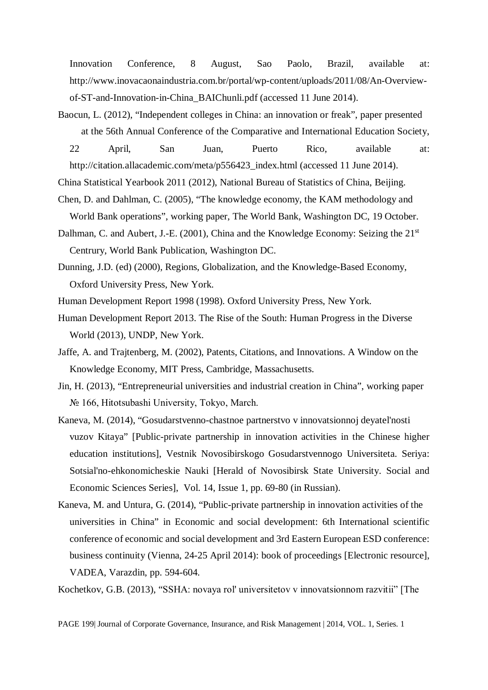Innovation Conference, 8 August, Sao Paolo, Brazil, available at: http://www.inovacaonaindustria.com.br/portal/wp-content/uploads/2011/08/An-Overviewof-ST-and-Innovation-in-China\_BAIChunli.pdf (accessed 11 June 2014).

Baocun, L. (2012), "Independent colleges in China: an innovation or freak", paper presented at the 56th Annual Conference of the Comparative and International Education Society, 22 April, San Juan, Puerto Rico, available at: http://citation.allacademic.com/meta/p556423\_index.html (accessed 11 June 2014).

China Statistical Yearbook 2011 (2012), National Bureau of Statistics of China, Beijing.

- Chen, D. and Dahlman, C. (2005), "The knowledge economy, the KAM methodology and World Bank operations", working paper, The World Bank, Washington DC, 19 October.
- Dalhman, C. and Aubert, J.-E. (2001), China and the Knowledge Economy: Seizing the  $21<sup>st</sup>$ Centrury, World Bank Publication, Washington DC.
- Dunning, J.D. (ed) (2000), Regions, Globalization, and the Knowledge-Based Economy, Oxford University Press, New York.
- Human Development Report 1998 (1998). Oxford University Press, New York.
- Human Development Report 2013. The Rise of the South: Human Progress in the Diverse World (2013), UNDP, New York.
- Jaffe, A. and Trajtenberg, M. (2002), Patents, Citations, and Innovations. A Window on the Knowledge Economy, MIT Press, Cambridge, Massachusetts.
- Jin, H. (2013), "Entrepreneurial universities and industrial creation in China", working paper № 166, Hitotsubashi University, Tokyo, March.
- Kaneva, М. (2014), "Gosudarstvenno-chastnoe partnerstvo v innovatsionnoj deyatel'nosti vuzov Kitaya" [Public-private partnership in innovation activities in the Chinese higher education institutions], Vestnik Novosibirskogo Gosudarstvennogo Universiteta. Seriya: Sotsial'no-ehkonomicheskie Nauki [Herald of Novosibirsk State University. Social and Economic Sciences Series], Vol. 14, Issue 1, pp. 69-80 (in Russian).
- Kaneva, M. and Untura, G. (2014), "Public-private partnership in innovation activities of the universities in China" in Economic and social development: 6th International scientific conference of economic and social development and 3rd Eastern European ESD conference: business continuity (Vienna, 24-25 April 2014): book of proceedings [Electronic resource], VADEA, Varazdin, pp. 594-604.

Kochetkov, G.B. (2013), "SSHА: novaya rol' universitetov v innovatsionnom razvitii" [The

PAGE 199| Journal of Corporate Governance, Insurance, and Risk Management | 2014, VOL. 1, Series. 1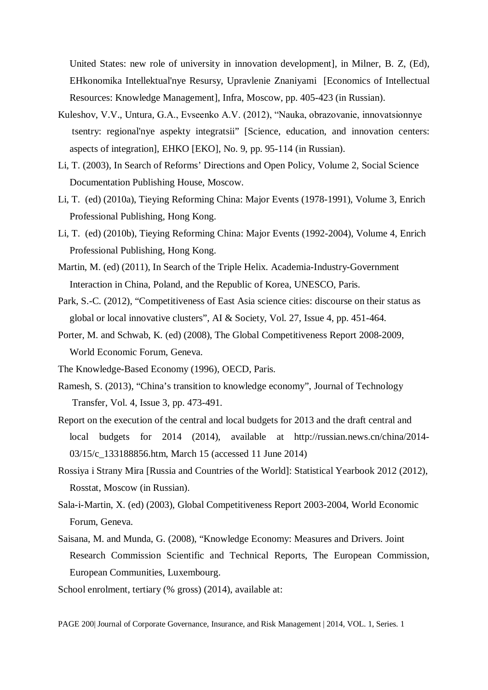United States: new role of university in innovation development], in Milner, B. Z, (Ed), EHkonomika Intellektual'nye Resursy, Upravlenie Znaniyami [Economics of Intellectual Resources: Knowledge Management], Infra, Moscow, pp. 405-423 (in Russian).

- Kuleshov, V.V., Untura, G.А., Evseenko А.V. (2012), "Nauka, obrazovanie, innovatsionnye tsentry: regional'nye aspekty integratsii" [Science, education, and innovation centers: aspects of integration], EHKO [EKO], No. 9, pp. 95-114 (in Russian).
- Li, T. (2003), In Search of Reforms' Directions and Open Policy, Volume 2, Social Science Documentation Publishing House, Moscow.
- Li, T. (ed) (2010a), Tieying Reforming China: Major Events (1978-1991), Volume 3, Enrich Professional Publishing, Hong Kong.
- Li, T. (ed) (2010b), Tieying Reforming China: Major Events (1992-2004), Volume 4, Enrich Professional Publishing, Hong Kong.
- Martin, M. (ed) (2011), In Search of the Triple Helix. Academia-Industry-Government Interaction in China, Poland, and the Republic of Korea, UNESCO, Paris.
- Park, S.-C. (2012), "Competitiveness of East Asia science cities: discourse on their status as global or local innovative clusters", AI & Society, Vol. 27, Issue 4, pp. 451-464.
- Porter, M. and Schwab, K. (ed) (2008), The Global Competitiveness Report 2008-2009, World Economic Forum, Geneva.
- The Knowledge-Based Economy (1996), OECD, Paris.
- Ramesh, S. (2013), "China's transition to knowledge economy", Journal of Technology Transfer, Vol. 4, Issue 3, pp. 473-491.
- Report on the execution of the central and local budgets for 2013 and the draft central and local budgets for 2014 (2014), available at <http://russian.news.cn/china/2014-> 03/15/c\_133188856.htm, March 15 (accessed 11 June 2014)
- Rossiya i Strany Mira [Russia and Countries of the World]: Statistical Yearbook 2012 (2012), Rosstat, Moscow (in Russian).
- Sala-i-Martin, X. (ed) (2003), Global Competitiveness Report 2003-2004, World Economic Forum, Geneva.
- Saisana, M. and Munda, G. (2008), "Knowledge Economy: Measures and Drivers. Joint Research Commission Scientific and Technical Reports, The European Commission, European Communities, Luxembourg.
- School enrolment, tertiary (% gross) (2014), available at:

PAGE 200| Journal of Corporate Governance, Insurance, and Risk Management | 2014, VOL. 1, Series. 1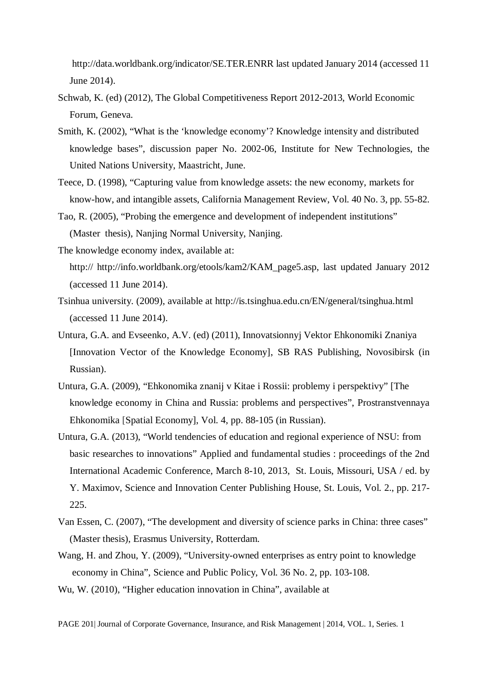[http://data.worldbank.org/indicator/SE.TER.ENRR last updated January 2014](http://data.worldbank.org/indicator/SE.TER.ENRR%20last%20updated%20January%202014) (accessed 11 June 2014).

- Schwab, K. (ed) (2012), The Global Competitiveness Report 2012-2013, World Economic Forum, Geneva.
- Smith, K. (2002), "What is the 'knowledge economy'? Knowledge intensity and distributed knowledge bases", discussion paper No. 2002-06, Institute for New Technologies, the United Nations University, Maastricht, June.
- Teece, D. (1998), "Capturing value from knowledge assets: the new economy, markets for know-how, and intangible assets, California Management Review, Vol. 40 No. 3, pp. 55-82.
- Tao, R. (2005), "Probing the emergence and development of independent institutions" (Master thesis), Nanjing Normal University, Nanjing.
- The knowledge economy index, available at: http:// http://info.worldbank.org/etools/kam2/KAM\_page5.asp, last updated January 2012 (accessed 11 June 2014).
- Tsinhua university. (2009), available at<http://is.tsinghua.edu.cn/EN/general/tsinghua.html> (accessed 11 June 2014).
- Untura, G.A. and Evseenko, A.V. (ed) (2011), Innovatsionnyj Vektor Ehkonomiki Znaniya [Innovation Vector of the Knowledge Economy], SB RAS Publishing, Novosibirsk (in Russian).
- Untura, G.A. (2009), "Ehkonomika znanij v Kitae i Rossii: problemy i perspektivy" [The knowledge economy in China and Russia: problems and perspectives", Prostranstvennaya Ehkonomika [Spatial Economy], Vol. 4, pp. 88-105 (in Russian).
- Untura, G.A. (2013), "World tendencies of education and regional experience of NSU: from basic researches to innovations" Applied and fundamental studies : proceedings of the 2nd International Academic Conference, March 8-10, 2013, St. Louis, Missouri, USA / ed. by Y. Maximov, Science and Innovation Center Publishing House, St. Louis, Vol. 2., pp. 217- 225.
- Van Essen, C. (2007), "The development and diversity of science parks in China: three cases" (Master thesis), Erasmus University, Rotterdam.
- Wang, H. and Zhou, Y. (2009), "University-owned enterprises as entry point to knowledge economy in China", Science and Public Policy, Vol. 36 No. 2, pp. 103-108.
- Wu, W. (2010), "Higher education innovation in China", available at

PAGE 201| Journal of Corporate Governance, Insurance, and Risk Management | 2014, VOL. 1, Series. 1